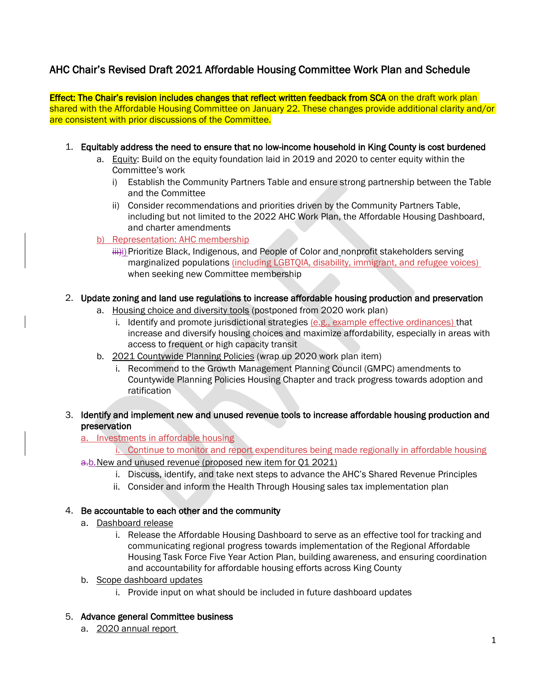## AHC Chair's Revised Draft 2021 Affordable Housing Committee Work Plan and Schedule

Effect: The Chair's revision includes changes that reflect written feedback from SCA on the draft work plan shared with the Affordable Housing Committee on January 22. These changes provide additional clarity and/or are consistent with prior discussions of the Committee.

- 1. Equitably address the need to ensure that no low-income household in King County is cost burdened
	- a. Equity: Build on the equity foundation laid in 2019 and 2020 to center equity within the Committee's work
		- i) Establish the Community Partners Table and ensure strong partnership between the Table and the Committee
		- ii) Consider recommendations and priorities driven by the Community Partners Table, including but not limited to the 2022 AHC Work Plan, the Affordable Housing Dashboard, and charter amendments
	- b) Representation: AHC membership

### 2. Update zoning and land use regulations to increase affordable housing production and preservation

- a. Housing choice and diversity tools (postponed from 2020 work plan)
	- i. Identify and promote jurisdictional strategies (e.g., example effective ordinances) that increase and diversify housing choices and maximize affordability, especially in areas with access to frequent or high capacity transit
- b. 2021 Countywide Planning Policies (wrap up 2020 work plan item)
	- i. Recommend to the Growth Management Planning Council (GMPC) amendments to Countywide Planning Policies Housing Chapter and track progress towards adoption and ratification
- 3. Identify and implement new and unused revenue tools to increase affordable housing production and preservation

a. Investments in affordable housing

i. Continue to monitor and report expenditures being made regionally in affordable housing a.b. New and unused revenue (proposed new item for Q1 2021)

- i. Discuss, identify, and take next steps to advance the AHC's Shared Revenue Principles
- ii. Consider and inform the Health Through Housing sales tax implementation plan

#### 4. Be accountable to each other and the community

- a. Dashboard release
	- i. Release the Affordable Housing Dashboard to serve as an effective tool for tracking and communicating regional progress towards implementation of the Regional Affordable Housing Task Force Five Year Action Plan, building awareness, and ensuring coordination and accountability for affordable housing efforts across King County
- b. Scope dashboard updates
	- i. Provide input on what should be included in future dashboard updates

#### 5. Advance general Committee business

a. 2020 annual report

iiii)i) Prioritize Black, Indigenous, and People of Color and nonprofit stakeholders serving marginalized populations (including LGBTQIA, disability, immigrant, and refugee voices) when seeking new Committee membership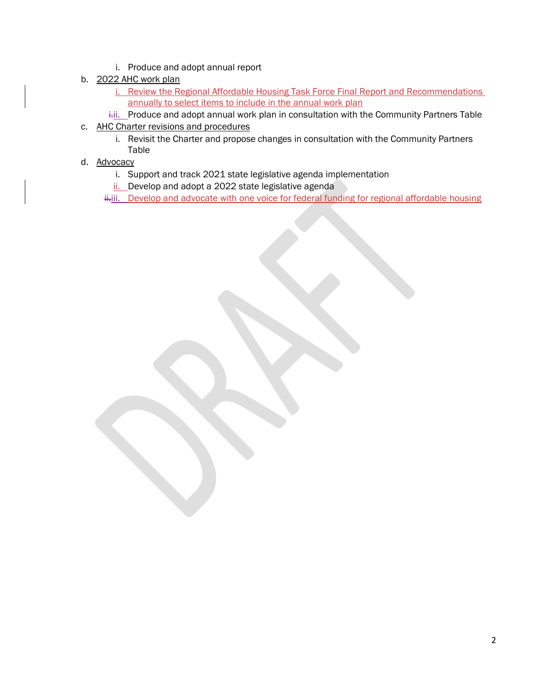- i. Produce and adopt annual report
- b. 2022 AHC work plan
	- i. Review the Regional Affordable Housing Task Force Final Report and Recommendations annually to select items to include in the annual work plan
	- i.i. Produce and adopt annual work plan in consultation with the Community Partners Table
- c. AHC Charter revisions and procedures
	- i. Revisit the Charter and propose changes in consultation with the Community Partners Table
- d. Advocacy
	- i. Support and track 2021 state legislative agenda implementation
	- ii. Develop and adopt a 2022 state legislative agenda

ii.iii. Develop and advocate with one voice for federal funding for regional affordable housing